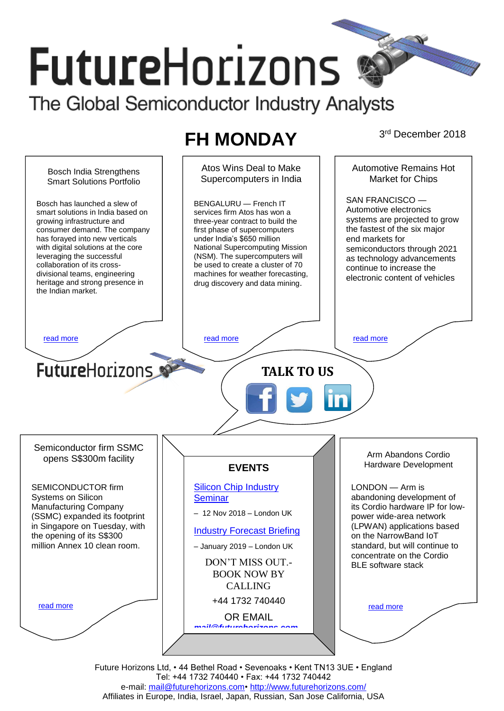# **FutureHorizons** The Global Semiconductor Industry Analysts

## **FH MONDAY**

3rd December 2018



Future Horizons Ltd, • 44 Bethel Road • Sevenoaks • Kent TN13 3UE • England Tel: +44 1732 740440 • Fax: +44 1732 740442 e-mail: [mail@futurehorizons.com•](../FH%20Monday%20-%202017/mail@futurehorizons.com)<http://www.futurehorizons.com/> Affiliates in Europe, India, Israel, Japan, Russian, San Jose California, USA